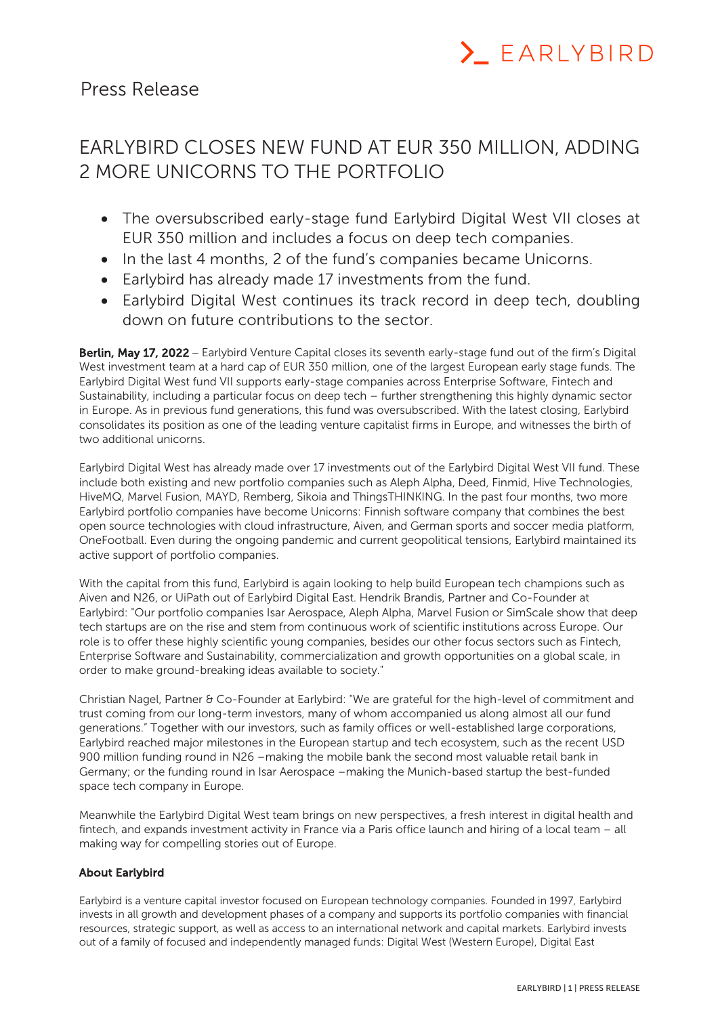

## Press Release

## EARLYBIRD CLOSES NEW FUND AT EUR 350 MILLION, ADDING 2 MORE UNICORNS TO THE PORTFOLIO

- The oversubscribed early-stage fund Earlybird Digital West VII closes at EUR 350 million and includes a focus on deep tech companies.
- In the last 4 months, 2 of the fund's companies became Unicorns.
- Earlybird has already made 17 investments from the fund.
- Earlybird Digital West continues its track record in deep tech, doubling down on future contributions to the sector.

Berlin, May 17, 2022 - Earlybird Venture Capital closes its seventh early-stage fund out of the firm's Digital West investment team at a hard cap of EUR 350 million, one of the largest European early stage funds. The Earlybird Digital West fund VII supports early-stage companies across Enterprise Software, Fintech and Sustainability, including a particular focus on deep tech – further strengthening this highly dynamic sector in Europe. As in previous fund generations, this fund was oversubscribed. With the latest closing, Earlybird consolidates its position as one of the leading venture capitalist firms in Europe, and witnesses the birth of two additional unicorns.

Earlybird Digital West has already made over 17 investments out of the Earlybird Digital West VII fund. These include both existing and new portfolio companies such as Aleph Alpha, Deed, Finmid, Hive Technologies, HiveMQ, Marvel Fusion, MAYD, Remberg, Sikoia and ThingsTHINKING. In the past four months, two more Earlybird portfolio companies have become Unicorns: Finnish software company that combines the best open source technologies with cloud infrastructure, Aiven, and German sports and soccer media platform, OneFootball. Even during the ongoing pandemic and current geopolitical tensions, Earlybird maintained its active support of portfolio companies.

With the capital from this fund, Earlybird is again looking to help build European tech champions such as Aiven and N26, or UiPath out of Earlybird Digital East. Hendrik Brandis, Partner and Co-Founder at Earlybird: "Our portfolio companies Isar Aerospace, Aleph Alpha, Marvel Fusion or SimScale show that deep tech startups are on the rise and stem from continuous work of scientific institutions across Europe. Our role is to offer these highly scientific young companies, besides our other focus sectors such as Fintech, Enterprise Software and Sustainability, commercialization and growth opportunities on a global scale, in order to make ground-breaking ideas available to society."

Christian Nagel, Partner & Co-Founder at Earlybird: "We are grateful for the high-level of commitment and trust coming from our long-term investors, many of whom accompanied us along almost all our fund generations." Together with our investors, such as family offices or well-established large corporations, Earlybird reached major milestones in the European startup and tech ecosystem, such as the recent USD 900 million funding round in N26 –making the mobile bank the second most valuable retail bank in Germany; or the funding round in Isar Aerospace –making the Munich-based startup the best-funded space tech company in Europe.

Meanwhile the Earlybird Digital West team brings on new perspectives, a fresh interest in digital health and fintech, and expands investment activity in France via a Paris office launch and hiring of a local team – all making way for compelling stories out of Europe.

## About Earlybird

Earlybird is a venture capital investor focused on European technology companies. Founded in 1997, Earlybird invests in all growth and development phases of a company and supports its portfolio companies with financial resources, strategic support, as well as access to an international network and capital markets. Earlybird invests out of a family of focused and independently managed funds: Digital West (Western Europe), Digital East